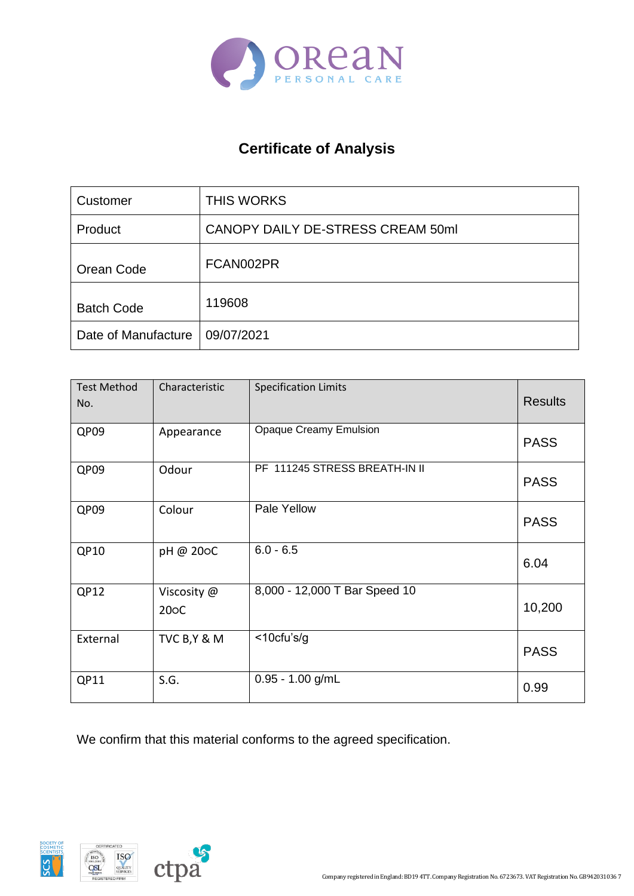

## **Certificate of Analysis**

| Customer            | <b>THIS WORKS</b>                 |
|---------------------|-----------------------------------|
| Product             | CANOPY DAILY DE-STRESS CREAM 50ml |
| Orean Code          | FCAN002PR                         |
| <b>Batch Code</b>   | 119608                            |
| Date of Manufacture | 09/07/2021                        |

| <b>Test Method</b><br>No. | Characteristic                   | <b>Specification Limits</b>   | <b>Results</b> |
|---------------------------|----------------------------------|-------------------------------|----------------|
| QP09                      | Appearance                       | <b>Opaque Creamy Emulsion</b> | <b>PASS</b>    |
| QP09                      | Odour                            | PF 111245 STRESS BREATH-IN II | <b>PASS</b>    |
| QP09                      | Colour                           | Pale Yellow                   | <b>PASS</b>    |
| QP10                      | pH @ 20oC                        | $6.0 - 6.5$                   | 6.04           |
| QP12                      | Viscosity @<br>20 <sub>o</sub> C | 8,000 - 12,000 T Bar Speed 10 | 10,200         |
| External                  | TVC B, Y & M                     | $<$ 10cfu's/g                 | <b>PASS</b>    |
| QP11                      | S.G.                             | $0.95 - 1.00$ g/mL            | 0.99           |

We confirm that this material conforms to the agreed specification.

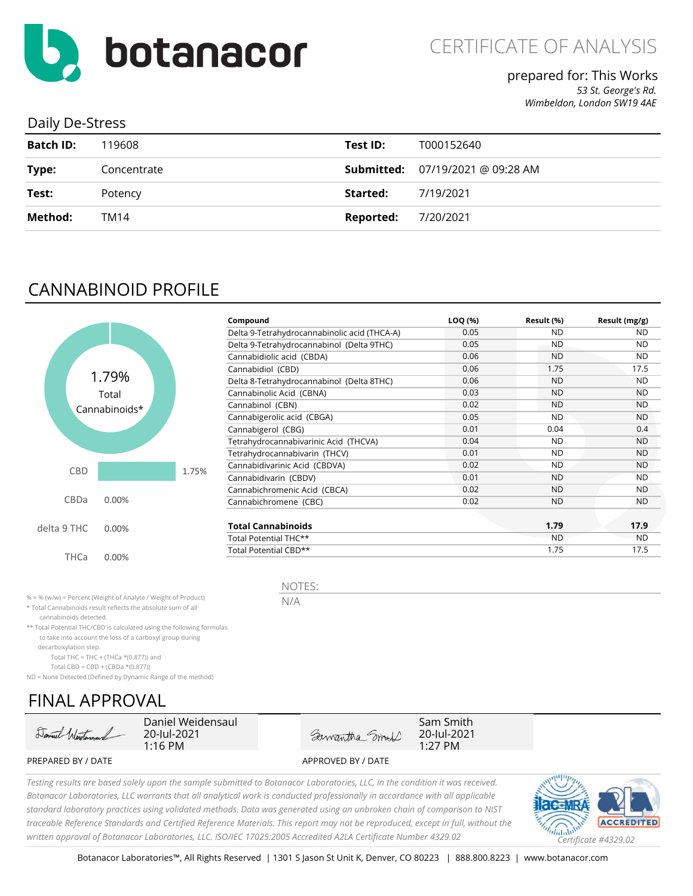

## prepared for: This Works

*53 St. George's Rd. Wimbeldon, London SW19 4AE*

### Daily De-Stress

| <b>Batch ID:</b> | 119608      | Test ID:  | T000152640                              |
|------------------|-------------|-----------|-----------------------------------------|
| Type:            | Concentrate |           | <b>Submitted:</b> 07/19/2021 @ 09:28 AM |
| Test:            | Potency     | Started:  | 7/19/2021                               |
| Method:          | TM14        | Reported: | 7/20/2021                               |
|                  |             |           |                                         |

# CANNABINOID PROFILE



| Compound                                     | LOQ (%) | Result (%) | Result (mg/g) |
|----------------------------------------------|---------|------------|---------------|
| Delta 9-Tetrahydrocannabinolic acid (THCA-A) | 0.05    | ND.        | <b>ND</b>     |
| Delta 9-Tetrahydrocannabinol (Delta 9THC)    | 0.05    | ND.        | <b>ND</b>     |
| Cannabidiolic acid (CBDA)                    | 0.06    | ND.        | ND            |
| Cannabidiol (CBD)                            | 0.06    | 1.75       | 17.5          |
| Delta 8-Tetrahydrocannabinol (Delta 8THC)    | 0.06    | <b>ND</b>  | <b>ND</b>     |
| Cannabinolic Acid (CBNA)                     | 0.03    | <b>ND</b>  | <b>ND</b>     |
| Cannabinol (CBN)                             | 0.02    | <b>ND</b>  | <b>ND</b>     |
| Cannabigerolic acid (CBGA)                   | 0.05    | <b>ND</b>  | <b>ND</b>     |
| Cannabigerol (CBG)                           | 0.01    | 0.04       | 0.4           |
| Tetrahydrocannabivarinic Acid (THCVA)        | 0.04    | <b>ND</b>  | <b>ND</b>     |
| Tetrahydrocannabivarin (THCV)                | 0.01    | <b>ND</b>  | <b>ND</b>     |
| Cannabidivarinic Acid (CBDVA)                | 0.02    | <b>ND</b>  | <b>ND</b>     |
| Cannabidivarin (CBDV)                        | 0.01    | ND.        | <b>ND</b>     |
| Cannabichromenic Acid (CBCA)                 | 0.02    | <b>ND</b>  | ND.           |
| Cannabichromene (CBC)                        | 0.02    | ND.        | <b>ND</b>     |
| <b>Total Cannabinoids</b>                    |         | 1.79       | 17.9          |
| Total Potential THC**                        |         | <b>ND</b>  | <b>ND</b>     |
| Total Potential CBD**                        |         | 1.75       | 17.5          |

% = % (w/w) = Percent (Weight of Analyte / Weight of Product)

\* Total Cannabinoids result reflects the absolute sum of all

cannabinoids detected.

\*\* Total Potential THC/CBD is calculated using the following formulas to take into account the loss of a carboxyl group during

decarboxylation step.

Total THC = THC + (THCa  $*(0.877)$ ) and

Total CBD = CBD + (CBDa \*(0.877))

ND = None Detected (Defined by Dynamic Range of the method)

# FINAL APPROVAL



Daniel Weidensaul 20-Jul-2021 1:16 PM

Sam Smith Samantha Smith 20-lul-2021 1:27 PM

PREPARED BY / DATE APPROVED BY / DATE

*Testing results are based solely upon the sample submitted to Botanacor Laboratories, LLC, in the condition it was received. Botanacor Laboratories, LLC warrants that all analytical work is conducted professionally in accordance with all applicable standard laboratory practices using validated methods. Data was generated using an unbroken chain of comparison to NIST traceable Reference Standards and Certified Reference Materials. This report may not be reproduced, except in full, without the written approval of Botanacor Laboratories, LLC. ISO/IEC 17025:2005 Accredited A2LA Certificate Number 4329.02 Certificate #4329.02*



N/A

NOTES: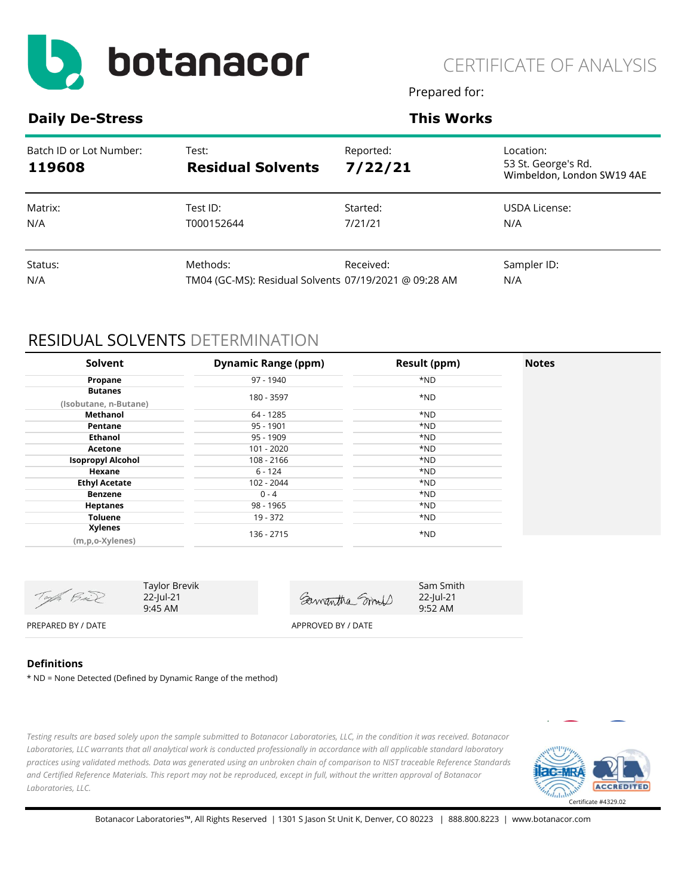

Prepared for:

### **Daily De-Stress**  This Works

| Batch ID or Lot Number:<br>119608 | Test:<br><b>Residual Solvents</b>                     | Reported:<br>7/22/21 | Location:<br>53 St. George's Rd.<br>Wimbeldon, London SW19 4AE |
|-----------------------------------|-------------------------------------------------------|----------------------|----------------------------------------------------------------|
| Matrix:                           | Test ID:                                              | Started:             | USDA License:                                                  |
| N/A                               | T000152644                                            | 7/21/21              | N/A                                                            |
| Status:                           | Methods:                                              | Received:            | Sampler ID:                                                    |
| N/A                               | TM04 (GC-MS): Residual Solvents 07/19/2021 @ 09:28 AM |                      | N/A                                                            |

## RESIDUAL SOLVENTS DETERMINATION

| Solvent                  | <b>Dynamic Range (ppm)</b> | Result (ppm) | <b>Notes</b> |
|--------------------------|----------------------------|--------------|--------------|
| Propane                  | 97 - 1940                  | *ND          |              |
| <b>Butanes</b>           |                            |              |              |
| (Isobutane, n-Butane)    | 180 - 3597                 | *ND          |              |
| Methanol                 | 64 - 1285                  | *ND          |              |
| Pentane                  | $95 - 1901$                | *ND          |              |
| <b>Ethanol</b>           | 95 - 1909                  | *ND          |              |
| Acetone                  | 101 - 2020                 | *ND          |              |
| <b>Isopropyl Alcohol</b> | 108 - 2166                 | *ND          |              |
| Hexane                   | $6 - 124$                  | *ND          |              |
| <b>Ethyl Acetate</b>     | 102 - 2044                 | *ND          |              |
| <b>Benzene</b>           | $0 - 4$                    | *ND          |              |
| <b>Heptanes</b>          | 98 - 1965                  | *ND          |              |
| <b>Toluene</b>           | 19 - 372                   | *ND          |              |
| <b>Xylenes</b>           | 136 - 2715                 | *ND          |              |
| (m,p,o-Xylenes)          |                            |              |              |

| Top Bul            | Taylor Brevik<br>22-Jul-21<br>$9:45 \text{ AM}$ | Samantha mod       | Sam Smith<br>22-Jul-21<br>$9:52 \, \text{AM}$ |
|--------------------|-------------------------------------------------|--------------------|-----------------------------------------------|
| PREPARED BY / DATE |                                                 | APPROVED BY / DATE |                                               |

#### **Definitions**

\* ND = None Detected (Defined by Dynamic Range of the method)

*Testing results are based solely upon the sample submitted to Botanacor Laboratories, LLC, in the condition it was received. Botanacor Laboratories, LLC warrants that all analytical work is conducted professionally in accordance with all applicable standard laboratory practices using validated methods. Data was generated using an unbroken chain of comparison to NIST traceable Reference Standards and Certified Reference Materials. This report may not be reproduced, except in full, without the written approval of Botanacor Laboratories, LLC.* 

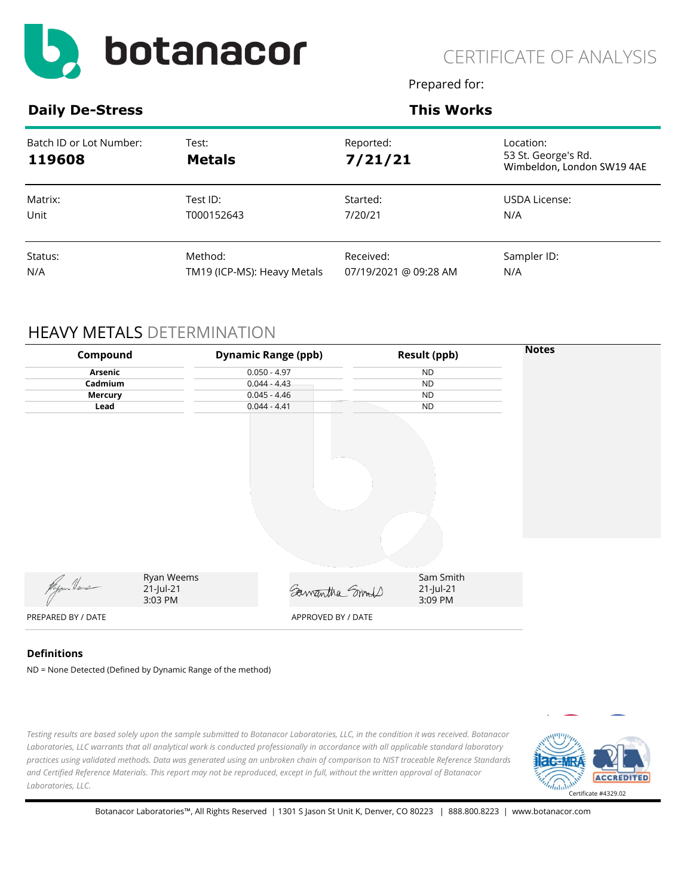

Prepared for:

**Daily De-Stress <b>This Works This Works** 

| Batch ID or Lot Number:<br>119608 | Test:<br><b>Metals</b>      | Reported:<br>7/21/21  | Location:<br>53 St. George's Rd.<br>Wimbeldon, London SW19 4AE |
|-----------------------------------|-----------------------------|-----------------------|----------------------------------------------------------------|
| Matrix:                           | Test ID:                    | Started:              | USDA License:                                                  |
| Unit                              | T000152643                  | 7/20/21               | N/A                                                            |
| Status:                           | Method:                     | Received:             | Sampler ID:                                                    |
| N/A                               | TM19 (ICP-MS): Heavy Metals | 07/19/2021 @ 09:28 AM | N/A                                                            |

### HEAVY METALS DETERMINATION

| Compound           |                                    | <b>Dynamic Range (ppb)</b> | <b>Result (ppb)</b>               | <b>Notes</b> |
|--------------------|------------------------------------|----------------------------|-----------------------------------|--------------|
| Arsenic            |                                    | $0.050 - 4.97$             | <b>ND</b>                         |              |
| Cadmium            |                                    | $0.044 - 4.43$             | <b>ND</b>                         |              |
| <b>Mercury</b>     |                                    | $0.045 - 4.46$             | <b>ND</b>                         |              |
| Lead               |                                    | $0.044 - 4.41$             | <b>ND</b>                         |              |
|                    |                                    |                            |                                   |              |
|                    |                                    |                            |                                   |              |
| Regen News         | Ryan Weems<br>21-Jul-21<br>3:03 PM | Samantha Smort             | Sam Smith<br>21-Jul-21<br>3:09 PM |              |
| PREPARED BY / DATE |                                    | APPROVED BY / DATE         |                                   |              |

#### **Definitions**

ND = None Detected (Defined by Dynamic Range of the method)

*Testing results are based solely upon the sample submitted to Botanacor Laboratories, LLC, in the condition it was received. Botanacor Laboratories, LLC warrants that all analytical work is conducted professionally in accordance with all applicable standard laboratory practices using validated methods. Data was generated using an unbroken chain of comparison to NIST traceable Reference Standards and Certified Reference Materials. This report may not be reproduced, except in full, without the written approval of Botanacor Laboratories, LLC.* 

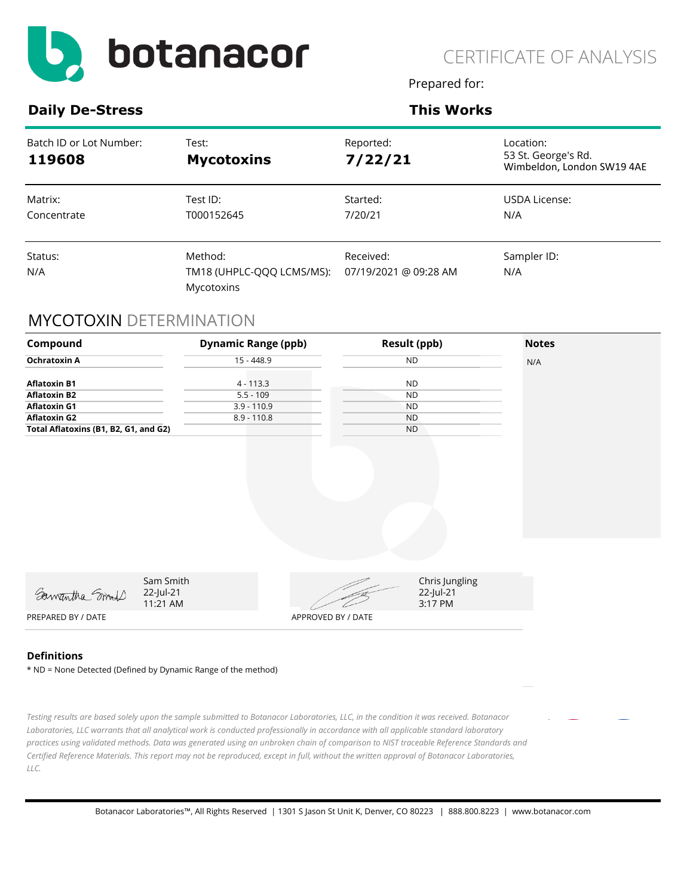

Prepared for:

**Daily De-Stress <b>This Works This Works** 

| Batch ID or Lot Number:<br>119608 | Test:<br><b>Mycotoxins</b>                         | Reported:<br>7/22/21               | Location:<br>53 St. George's Rd.<br>Wimbeldon, London SW19 4AE |
|-----------------------------------|----------------------------------------------------|------------------------------------|----------------------------------------------------------------|
| Matrix:<br>Concentrate            | Test ID:<br>T000152645                             | Started:<br>7/20/21                | USDA License:<br>N/A                                           |
| Status:<br>N/A                    | Method:<br>TM18 (UHPLC-QQQ LCMS/MS):<br>Mycotoxins | Received:<br>07/19/2021 @ 09:28 AM | Sampler ID:<br>N/A                                             |

### MYCOTOXIN DETERMINATION

| Compound                              |                                    | <b>Dynamic Range (ppb)</b> | <b>Result (ppb)</b> |                                        | <b>Notes</b> |
|---------------------------------------|------------------------------------|----------------------------|---------------------|----------------------------------------|--------------|
| <b>Ochratoxin A</b>                   | $15 - 448.9$                       |                            | ND                  |                                        | N/A          |
| <b>Aflatoxin B1</b>                   |                                    | $4 - 113.3$                | <b>ND</b>           |                                        |              |
| <b>Aflatoxin B2</b>                   |                                    | $5.5 - 109$                | <b>ND</b>           |                                        |              |
| <b>Aflatoxin G1</b>                   |                                    | $3.9 - 110.9$              | <b>ND</b>           |                                        |              |
| <b>Aflatoxin G2</b>                   |                                    | $8.9 - 110.8$              | <b>ND</b>           |                                        |              |
| Total Aflatoxins (B1, B2, G1, and G2) |                                    |                            | <b>ND</b>           |                                        |              |
|                                       |                                    |                            |                     |                                        |              |
|                                       |                                    |                            |                     |                                        |              |
| Samantha Smith                        | Sam Smith<br>22-Jul-21<br>11:21 AM |                            |                     | Chris Jungling<br>22-Jul-21<br>3:17 PM |              |
| PREPARED BY / DATE                    |                                    | APPROVED BY / DATE         |                     |                                        |              |
|                                       |                                    |                            |                     |                                        |              |

#### **Definitions**

\* ND = None Detected (Defined by Dynamic Range of the method)

*Testing results are based solely upon the sample submitted to Botanacor Laboratories, LLC, in the condition it was received. Botanacor Laboratories, LLC warrants that all analytical work is conducted professionally in accordance with all applicable standard laboratory practices using validated methods. Data was generated using an unbroken chain of comparison to NIST traceable Reference Standards and Certified Reference Materials. This report may not be reproduced, except in full, without the written approval of Botanacor Laboratories, LLC.*